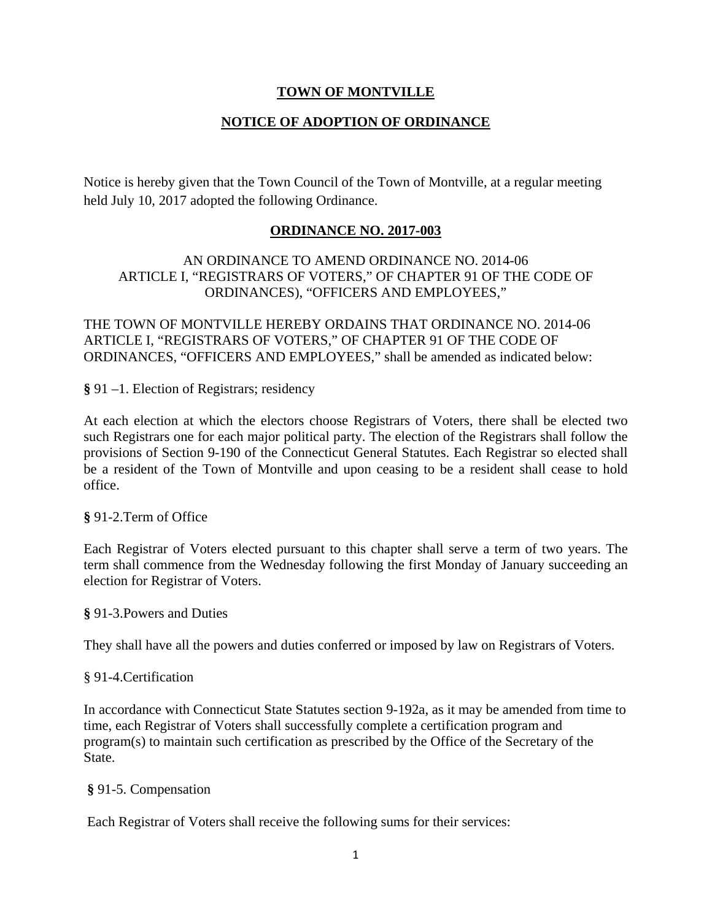### **TOWN OF MONTVILLE**

# **NOTICE OF ADOPTION OF ORDINANCE**

Notice is hereby given that the Town Council of the Town of Montville, at a regular meeting held July 10, 2017 adopted the following Ordinance.

## **ORDINANCE NO. 2017-003**

### AN ORDINANCE TO AMEND ORDINANCE NO. 2014-06 ARTICLE I, "REGISTRARS OF VOTERS," OF CHAPTER 91 OF THE CODE OF ORDINANCES), "OFFICERS AND EMPLOYEES,"

THE TOWN OF MONTVILLE HEREBY ORDAINS THAT ORDINANCE NO. 2014-06 ARTICLE I, "REGISTRARS OF VOTERS," OF CHAPTER 91 OF THE CODE OF ORDINANCES, "OFFICERS AND EMPLOYEES," shall be amended as indicated below:

**§** 91 –1. Election of Registrars; residency

At each election at which the electors choose Registrars of Voters, there shall be elected two such Registrars one for each major political party. The election of the Registrars shall follow the provisions of Section 9-190 of the Connecticut General Statutes. Each Registrar so elected shall be a resident of the Town of Montville and upon ceasing to be a resident shall cease to hold office.

#### **§** 91-2.Term of Office

Each Registrar of Voters elected pursuant to this chapter shall serve a term of two years. The term shall commence from the Wednesday following the first Monday of January succeeding an election for Registrar of Voters.

#### **§** 91-3.Powers and Duties

They shall have all the powers and duties conferred or imposed by law on Registrars of Voters.

#### § 91-4.Certification

In accordance with Connecticut State Statutes section 9-192a, as it may be amended from time to time, each Registrar of Voters shall successfully complete a certification program and program(s) to maintain such certification as prescribed by the Office of the Secretary of the State.

#### **§** 91-5. Compensation

Each Registrar of Voters shall receive the following sums for their services: